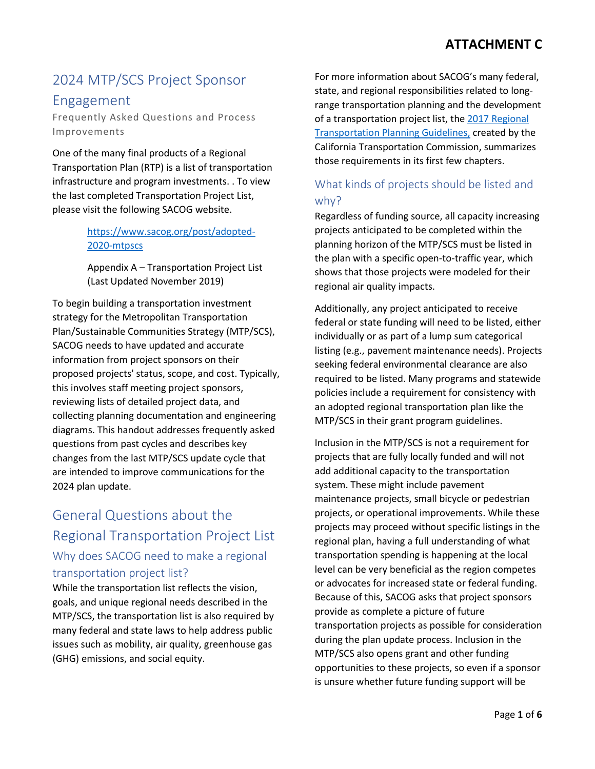# 2024 MTP/SCS Project Sponsor Engagement

Frequently Asked Questions and Process Improvements

One of the many final products of a Regional Transportation Plan (RTP) is a list of transportation infrastructure and program investments. . To view the last completed Transportation Project List, please visit the following SACOG website.

#### [https://www.sacog.org/post/adopted-](https://www.sacog.org/post/adopted-2020-mtpscs)[2020-mtpscs](https://www.sacog.org/post/adopted-2020-mtpscs)

Appendix A – Transportation Project List (Last Updated November 2019)

To begin building a transportation investment strategy for the Metropolitan Transportation Plan/Sustainable Communities Strategy (MTP/SCS), SACOG needs to have updated and accurate information from project sponsors on their proposed projects' status, scope, and cost. Typically, this involves staff meeting project sponsors, reviewing lists of detailed project data, and collecting planning documentation and engineering diagrams. This handout addresses frequently asked questions from past cycles and describes key changes from the last MTP/SCS update cycle that are intended to improve communications for the 2024 plan update.

# General Questions about the Regional Transportation Project List Why does SACOG need to make a regional transportation project list?

While the transportation list reflects the vision, goals, and unique regional needs described in the MTP/SCS, the transportation list is also required by many federal and state laws to help address public issues such as mobility, air quality, greenhouse gas (GHG) emissions, and social equity.

For more information about SACOG's many federal, state, and regional responsibilities related to longrange transportation planning and the development of a transportation project list, the [2017 Regional](https://dot.ca.gov/programs/transportation-planning/regional-planning/federal-state-planning-program)  [Transportation Planning Guidelines,](https://dot.ca.gov/programs/transportation-planning/regional-planning/federal-state-planning-program) created by the California Transportation Commission, summarizes those requirements in its first few chapters.

#### What kinds of projects should be listed and why?

Regardless of funding source, all capacity increasing projects anticipated to be completed within the planning horizon of the MTP/SCS must be listed in the plan with a specific open-to-traffic year, which shows that those projects were modeled for their regional air quality impacts.

Additionally, any project anticipated to receive federal or state funding will need to be listed, either individually or as part of a lump sum categorical listing (e.g., pavement maintenance needs). Projects seeking federal environmental clearance are also required to be listed. Many programs and statewide policies include a requirement for consistency with an adopted regional transportation plan like the MTP/SCS in their grant program guidelines.

Inclusion in the MTP/SCS is not a requirement for projects that are fully locally funded and will not add additional capacity to the transportation system. These might include pavement maintenance projects, small bicycle or pedestrian projects, or operational improvements. While these projects may proceed without specific listings in the regional plan, having a full understanding of what transportation spending is happening at the local level can be very beneficial as the region competes or advocates for increased state or federal funding. Because of this, SACOG asks that project sponsors provide as complete a picture of future transportation projects as possible for consideration during the plan update process. Inclusion in the MTP/SCS also opens grant and other funding opportunities to these projects, so even if a sponsor is unsure whether future funding support will be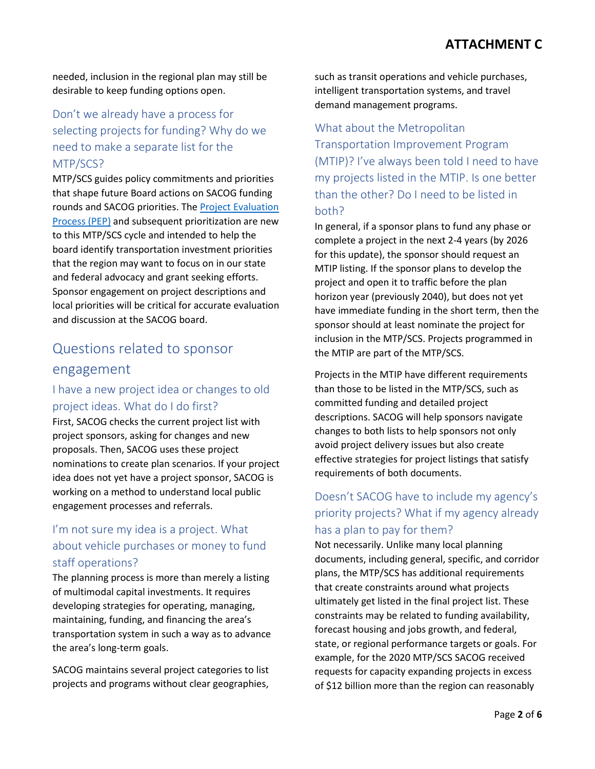needed, inclusion in the regional plan may still be desirable to keep funding options open.

#### Don't we already have a process for selecting projects for funding? Why do we need to make a separate list for the MTP/SCS?

MTP/SCS guides policy commitments and priorities that shape future Board actions on SACOG funding rounds and SACOG priorities. Th[e Project Evaluation](https://sacog.primegov.com/meeting/attachment/2923.pdf?name=Attachment%20B-PEP%20Primer)  [Process \(PEP\)](https://sacog.primegov.com/meeting/attachment/2923.pdf?name=Attachment%20B-PEP%20Primer) and subsequent prioritization are new to this MTP/SCS cycle and intended to help the board identify transportation investment priorities that the region may want to focus on in our state and federal advocacy and grant seeking efforts. Sponsor engagement on project descriptions and local priorities will be critical for accurate evaluation and discussion at the SACOG board.

# Questions related to sponsor engagement

#### I have a new project idea or changes to old project ideas. What do I do first?

First, SACOG checks the current project list with project sponsors, asking for changes and new proposals. Then, SACOG uses these project nominations to create plan scenarios. If your project idea does not yet have a project sponsor, SACOG is working on a method to understand local public engagement processes and referrals.

#### I'm not sure my idea is a project. What about vehicle purchases or money to fund staff operations?

The planning process is more than merely a listing of multimodal capital investments. It requires developing strategies for operating, managing, maintaining, funding, and financing the area's transportation system in such a way as to advance the area's long-term goals.

SACOG maintains several project categories to list projects and programs without clear geographies,

such as transit operations and vehicle purchases, intelligent transportation systems, and travel demand management programs.

### What about the Metropolitan Transportation Improvement Program (MTIP)? I've always been told I need to have my projects listed in the MTIP. Is one better than the other? Do I need to be listed in both?

In general, if a sponsor plans to fund any phase or complete a project in the next 2-4 years (by 2026 for this update), the sponsor should request an MTIP listing. If the sponsor plans to develop the project and open it to traffic before the plan horizon year (previously 2040), but does not yet have immediate funding in the short term, then the sponsor should at least nominate the project for inclusion in the MTP/SCS. Projects programmed in the MTIP are part of the MTP/SCS.

Projects in the MTIP have different requirements than those to be listed in the MTP/SCS, such as committed funding and detailed project descriptions. SACOG will help sponsors navigate changes to both lists to help sponsors not only avoid project delivery issues but also create effective strategies for project listings that satisfy requirements of both documents.

### Doesn't SACOG have to include my agency's priority projects? What if my agency already has a plan to pay for them?

Not necessarily. Unlike many local planning documents, including general, specific, and corridor plans, the MTP/SCS has additional requirements that create constraints around what projects ultimately get listed in the final project list. These constraints may be related to funding availability, forecast housing and jobs growth, and federal, state, or regional performance targets or goals. For example, for the 2020 MTP/SCS SACOG received requests for capacity expanding projects in excess of \$12 billion more than the region can reasonably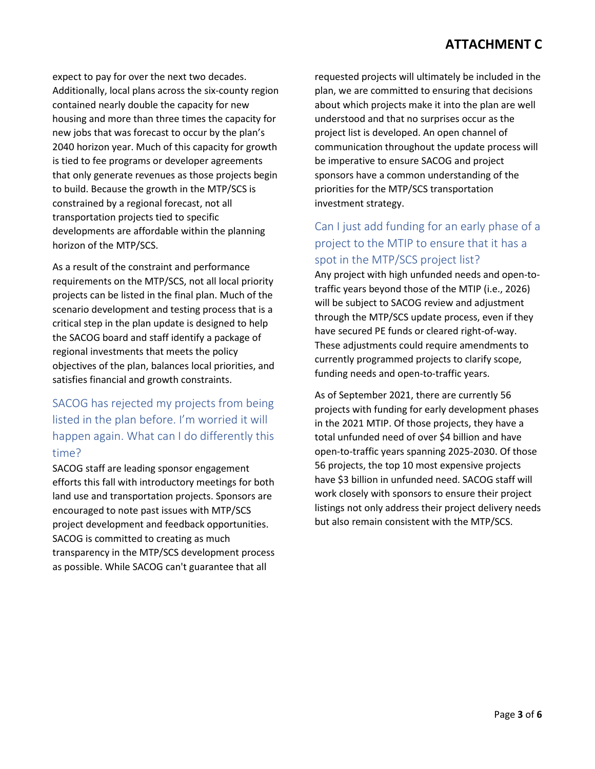### **ATTACHMENT C**

expect to pay for over the next two decades. Additionally, local plans across the six-county region contained nearly double the capacity for new housing and more than three times the capacity for new jobs that was forecast to occur by the plan's 2040 horizon year. Much of this capacity for growth is tied to fee programs or developer agreements that only generate revenues as those projects begin to build. Because the growth in the MTP/SCS is constrained by a regional forecast, not all transportation projects tied to specific developments are affordable within the planning horizon of the MTP/SCS.

As a result of the constraint and performance requirements on the MTP/SCS, not all local priority projects can be listed in the final plan. Much of the scenario development and testing process that is a critical step in the plan update is designed to help the SACOG board and staff identify a package of regional investments that meets the policy objectives of the plan, balances local priorities, and satisfies financial and growth constraints.

### SACOG has rejected my projects from being listed in the plan before. I'm worried it will happen again. What can I do differently this time?

SACOG staff are leading sponsor engagement efforts this fall with introductory meetings for both land use and transportation projects. Sponsors are encouraged to note past issues with MTP/SCS project development and feedback opportunities. SACOG is committed to creating as much transparency in the MTP/SCS development process as possible. While SACOG can't guarantee that all

requested projects will ultimately be included in the plan, we are committed to ensuring that decisions about which projects make it into the plan are well understood and that no surprises occur as the project list is developed. An open channel of communication throughout the update process will be imperative to ensure SACOG and project sponsors have a common understanding of the priorities for the MTP/SCS transportation investment strategy.

#### Can I just add funding for an early phase of a project to the MTIP to ensure that it has a spot in the MTP/SCS project list?

Any project with high unfunded needs and open-totraffic years beyond those of the MTIP (i.e., 2026) will be subject to SACOG review and adjustment through the MTP/SCS update process, even if they have secured PE funds or cleared right-of-way. These adjustments could require amendments to currently programmed projects to clarify scope, funding needs and open-to-traffic years.

As of September 2021, there are currently 56 projects with funding for early development phases in the 2021 MTIP. Of those projects, they have a total unfunded need of over \$4 billion and have open-to-traffic years spanning 2025-2030. Of those 56 projects, the top 10 most expensive projects have \$3 billion in unfunded need. SACOG staff will work closely with sponsors to ensure their project listings not only address their project delivery needs but also remain consistent with the MTP/SCS.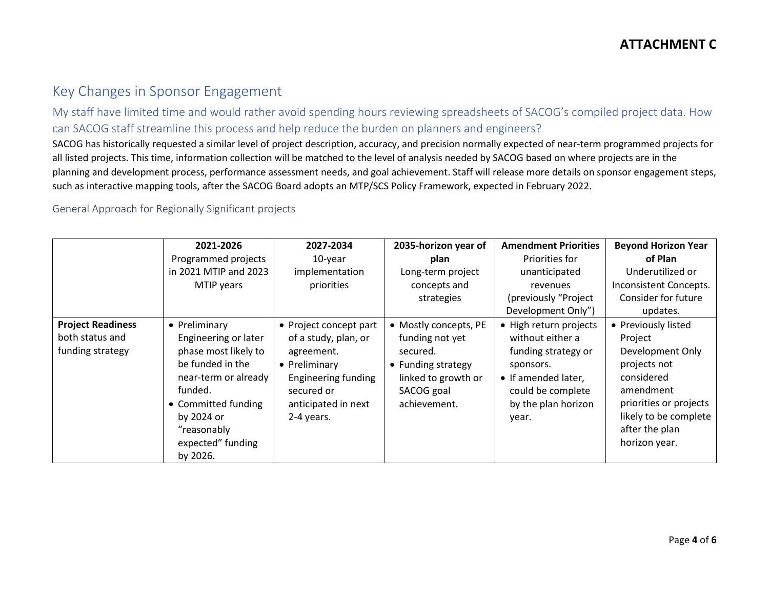#### Key Changes in Sponsor Engagement

My staff have limited time and would rather avoid spending hours reviewing spreadsheets of SACOG's compiled project data. How can SACOG staff streamline this process and help reduce the burden on planners and engineers?

SACOG has historically requested a similar level of project description, accuracy, and precision normally expected of near-term programmed projects for all listed projects. This time, information collection will be matched to the level of analysis needed by SACOG based on where projects are in the planning and development process, performance assessment needs, and goal achievement. Staff will release more details on sponsor engagement steps, such as interactive mapping tools, after the SACOG Board adopts an MTP/SCS Policy Framework, expected in February 2022.

#### General Approach for Regionally Significant projects

|                                                                 | 2021-2026                                                                                                                                                                                                 | 2027-2034                                                                                                                                                      | 2035-horizon year of                                                                                                            | <b>Amendment Priorities</b>                                                                                                                                | <b>Beyond Horizon Year</b>                                                                                                                                                          |
|-----------------------------------------------------------------|-----------------------------------------------------------------------------------------------------------------------------------------------------------------------------------------------------------|----------------------------------------------------------------------------------------------------------------------------------------------------------------|---------------------------------------------------------------------------------------------------------------------------------|------------------------------------------------------------------------------------------------------------------------------------------------------------|-------------------------------------------------------------------------------------------------------------------------------------------------------------------------------------|
|                                                                 | Programmed projects                                                                                                                                                                                       | 10-year                                                                                                                                                        | plan                                                                                                                            | Priorities for                                                                                                                                             | of Plan                                                                                                                                                                             |
|                                                                 | in 2021 MTIP and 2023                                                                                                                                                                                     | implementation                                                                                                                                                 | Long-term project                                                                                                               | unanticipated                                                                                                                                              | Underutilized or                                                                                                                                                                    |
|                                                                 | MTIP years                                                                                                                                                                                                | priorities                                                                                                                                                     | concepts and                                                                                                                    | revenues                                                                                                                                                   | Inconsistent Concepts.                                                                                                                                                              |
|                                                                 |                                                                                                                                                                                                           |                                                                                                                                                                | strategies                                                                                                                      | (previously "Project                                                                                                                                       | Consider for future                                                                                                                                                                 |
|                                                                 |                                                                                                                                                                                                           |                                                                                                                                                                |                                                                                                                                 | Development Only")                                                                                                                                         | updates.                                                                                                                                                                            |
| <b>Project Readiness</b><br>both status and<br>funding strategy | • Preliminary<br>Engineering or later<br>phase most likely to<br>be funded in the<br>near-term or already<br>funded.<br>• Committed funding<br>by 2024 or<br>"reasonably<br>expected" funding<br>by 2026. | • Project concept part<br>of a study, plan, or<br>agreement.<br>• Preliminary<br><b>Engineering funding</b><br>secured or<br>anticipated in next<br>2-4 years. | • Mostly concepts, PE<br>funding not yet<br>secured.<br>• Funding strategy<br>linked to growth or<br>SACOG goal<br>achievement. | • High return projects<br>without either a<br>funding strategy or<br>sponsors.<br>• If amended later,<br>could be complete<br>by the plan horizon<br>year. | • Previously listed<br>Project<br>Development Only<br>projects not<br>considered<br>amendment<br>priorities or projects<br>likely to be complete<br>after the plan<br>horizon year. |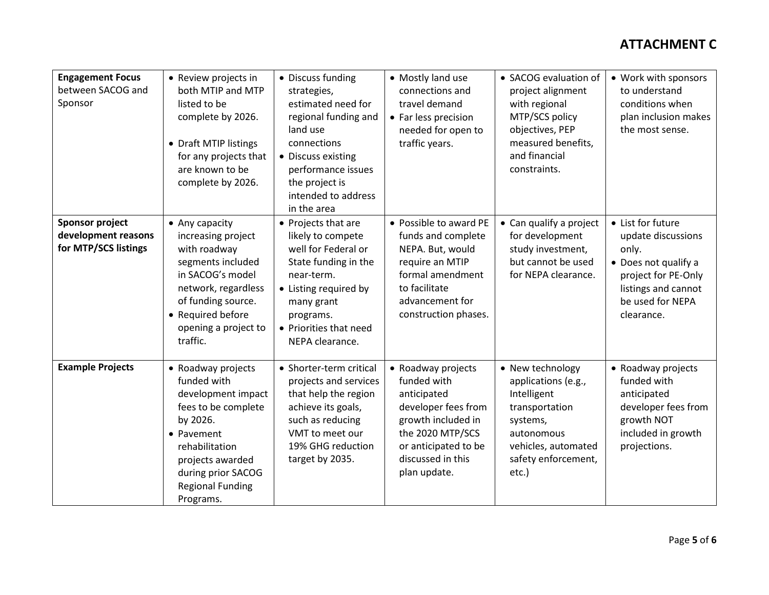### **ATTACHMENT C**

| <b>Engagement Focus</b><br>between SACOG and<br>Sponsor               | • Review projects in<br>both MTIP and MTP<br>listed to be<br>complete by 2026.<br>• Draft MTIP listings<br>for any projects that<br>are known to be<br>complete by 2026.                                     | • Discuss funding<br>strategies,<br>estimated need for<br>regional funding and<br>land use<br>connections<br>• Discuss existing<br>performance issues<br>the project is<br>intended to address<br>in the area | • Mostly land use<br>connections and<br>travel demand<br>• Far less precision<br>needed for open to<br>traffic years.                                                          | • SACOG evaluation of<br>project alignment<br>with regional<br>MTP/SCS policy<br>objectives, PEP<br>measured benefits,<br>and financial<br>constraints.   | • Work with sponsors<br>to understand<br>conditions when<br>plan inclusion makes<br>the most sense.                                                      |
|-----------------------------------------------------------------------|--------------------------------------------------------------------------------------------------------------------------------------------------------------------------------------------------------------|---------------------------------------------------------------------------------------------------------------------------------------------------------------------------------------------------------------|--------------------------------------------------------------------------------------------------------------------------------------------------------------------------------|-----------------------------------------------------------------------------------------------------------------------------------------------------------|----------------------------------------------------------------------------------------------------------------------------------------------------------|
| <b>Sponsor project</b><br>development reasons<br>for MTP/SCS listings | • Any capacity<br>increasing project<br>with roadway<br>segments included<br>in SACOG's model<br>network, regardless<br>of funding source.<br>• Required before<br>opening a project to<br>traffic.          | • Projects that are<br>likely to compete<br>well for Federal or<br>State funding in the<br>near-term.<br>• Listing required by<br>many grant<br>programs.<br>• Priorities that need<br>NEPA clearance.        | • Possible to award PE<br>funds and complete<br>NEPA. But, would<br>require an MTIP<br>formal amendment<br>to facilitate<br>advancement for<br>construction phases.            | • Can qualify a project<br>for development<br>study investment,<br>but cannot be used<br>for NEPA clearance.                                              | • List for future<br>update discussions<br>only.<br>• Does not qualify a<br>project for PE-Only<br>listings and cannot<br>be used for NEPA<br>clearance. |
| <b>Example Projects</b>                                               | • Roadway projects<br>funded with<br>development impact<br>fees to be complete<br>by 2026.<br>• Pavement<br>rehabilitation<br>projects awarded<br>during prior SACOG<br><b>Regional Funding</b><br>Programs. | • Shorter-term critical<br>projects and services<br>that help the region<br>achieve its goals,<br>such as reducing<br>VMT to meet our<br>19% GHG reduction<br>target by 2035.                                 | • Roadway projects<br>funded with<br>anticipated<br>developer fees from<br>growth included in<br>the 2020 MTP/SCS<br>or anticipated to be<br>discussed in this<br>plan update. | • New technology<br>applications (e.g.,<br>Intelligent<br>transportation<br>systems,<br>autonomous<br>vehicles, automated<br>safety enforcement,<br>etc.) | • Roadway projects<br>funded with<br>anticipated<br>developer fees from<br>growth NOT<br>included in growth<br>projections.                              |